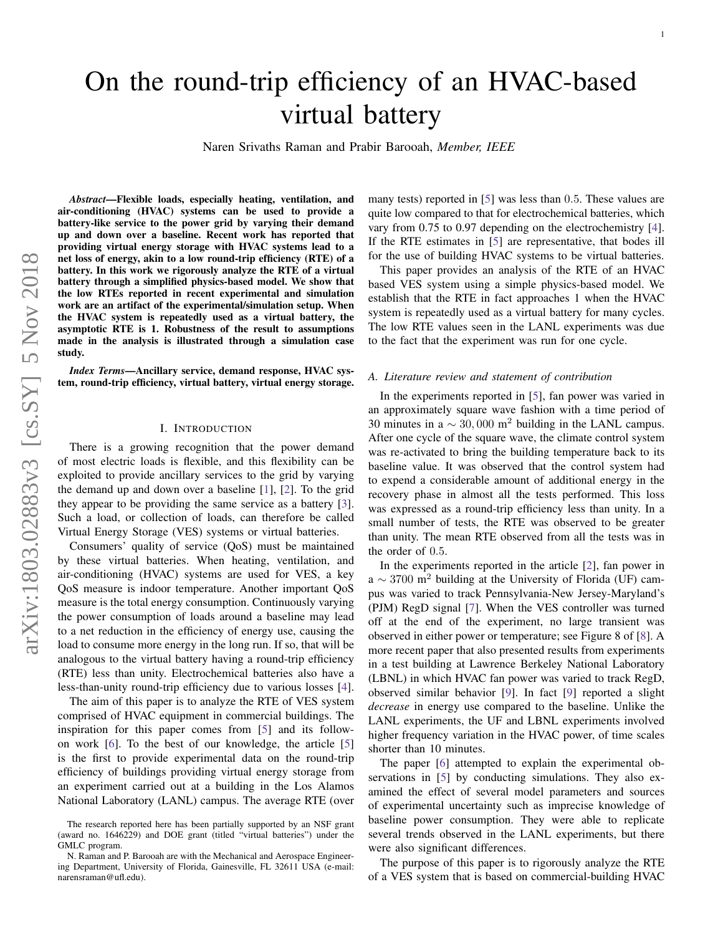1

# <span id="page-0-0"></span>On the round-trip efficiency of an HVAC-based virtual battery

Naren Srivaths Raman and Prabir Barooah, *Member, IEEE*

*Abstract*—Flexible loads, especially heating, ventilation, and air-conditioning (HVAC) systems can be used to provide a battery-like service to the power grid by varying their demand up and down over a baseline. Recent work has reported that providing virtual energy storage with HVAC systems lead to a net loss of energy, akin to a low round-trip efficiency (RTE) of a battery. In this work we rigorously analyze the RTE of a virtual battery through a simplified physics-based model. We show that the low RTEs reported in recent experimental and simulation work are an artifact of the experimental/simulation setup. When the HVAC system is repeatedly used as a virtual battery, the asymptotic RTE is 1. Robustness of the result to assumptions made in the analysis is illustrated through a simulation case study.

*Index Terms*—Ancillary service, demand response, HVAC system, round-trip efficiency, virtual battery, virtual energy storage.

## I. INTRODUCTION

There is a growing recognition that the power demand of most electric loads is flexible, and this flexibility can be exploited to provide ancillary services to the grid by varying the demand up and down over a baseline [\[1\]](#page-7-0), [\[2\]](#page-7-1). To the grid they appear to be providing the same service as a battery [\[3\]](#page-7-2). Such a load, or collection of loads, can therefore be called Virtual Energy Storage (VES) systems or virtual batteries.

Consumers' quality of service (QoS) must be maintained by these virtual batteries. When heating, ventilation, and air-conditioning (HVAC) systems are used for VES, a key QoS measure is indoor temperature. Another important QoS measure is the total energy consumption. Continuously varying the power consumption of loads around a baseline may lead to a net reduction in the efficiency of energy use, causing the load to consume more energy in the long run. If so, that will be analogous to the virtual battery having a round-trip efficiency (RTE) less than unity. Electrochemical batteries also have a less-than-unity round-trip efficiency due to various losses [\[4\]](#page-7-3).

The aim of this paper is to analyze the RTE of VES system comprised of HVAC equipment in commercial buildings. The inspiration for this paper comes from [\[5\]](#page-7-4) and its followon work [\[6\]](#page-7-5). To the best of our knowledge, the article [\[5\]](#page-7-4) is the first to provide experimental data on the round-trip efficiency of buildings providing virtual energy storage from an experiment carried out at a building in the Los Alamos National Laboratory (LANL) campus. The average RTE (over many tests) reported in [\[5\]](#page-7-4) was less than 0.5. These values are quite low compared to that for electrochemical batteries, which vary from 0.75 to 0.97 depending on the electrochemistry [\[4\]](#page-7-3). If the RTE estimates in [\[5\]](#page-7-4) are representative, that bodes ill for the use of building HVAC systems to be virtual batteries.

This paper provides an analysis of the RTE of an HVAC based VES system using a simple physics-based model. We establish that the RTE in fact approaches 1 when the HVAC system is repeatedly used as a virtual battery for many cycles. The low RTE values seen in the LANL experiments was due to the fact that the experiment was run for one cycle.

# *A. Literature review and statement of contribution*

In the experiments reported in [\[5\]](#page-7-4), fan power was varied in an approximately square wave fashion with a time period of 30 minutes in a  $\sim$  30,000 m<sup>2</sup> building in the LANL campus. After one cycle of the square wave, the climate control system was re-activated to bring the building temperature back to its baseline value. It was observed that the control system had to expend a considerable amount of additional energy in the recovery phase in almost all the tests performed. This loss was expressed as a round-trip efficiency less than unity. In a small number of tests, the RTE was observed to be greater than unity. The mean RTE observed from all the tests was in the order of 0.5.

In the experiments reported in the article [\[2\]](#page-7-1), fan power in  $a \sim 3700$  m<sup>2</sup> building at the University of Florida (UF) campus was varied to track Pennsylvania-New Jersey-Maryland's (PJM) RegD signal [\[7\]](#page-7-6). When the VES controller was turned off at the end of the experiment, no large transient was observed in either power or temperature; see Figure 8 of [\[8\]](#page-7-7). A more recent paper that also presented results from experiments in a test building at Lawrence Berkeley National Laboratory (LBNL) in which HVAC fan power was varied to track RegD, observed similar behavior [\[9\]](#page-7-8). In fact [\[9\]](#page-7-8) reported a slight *decrease* in energy use compared to the baseline. Unlike the LANL experiments, the UF and LBNL experiments involved higher frequency variation in the HVAC power, of time scales shorter than 10 minutes.

The paper [\[6\]](#page-7-5) attempted to explain the experimental observations in [\[5\]](#page-7-4) by conducting simulations. They also examined the effect of several model parameters and sources of experimental uncertainty such as imprecise knowledge of baseline power consumption. They were able to replicate several trends observed in the LANL experiments, but there were also significant differences.

The purpose of this paper is to rigorously analyze the RTE of a VES system that is based on commercial-building HVAC

The research reported here has been partially supported by an NSF grant (award no. 1646229) and DOE grant (titled "virtual batteries") under the GMLC program.

N. Raman and P. Barooah are with the Mechanical and Aerospace Engineering Department, University of Florida, Gainesville, FL 32611 USA (e-mail: narensraman@ufl.edu).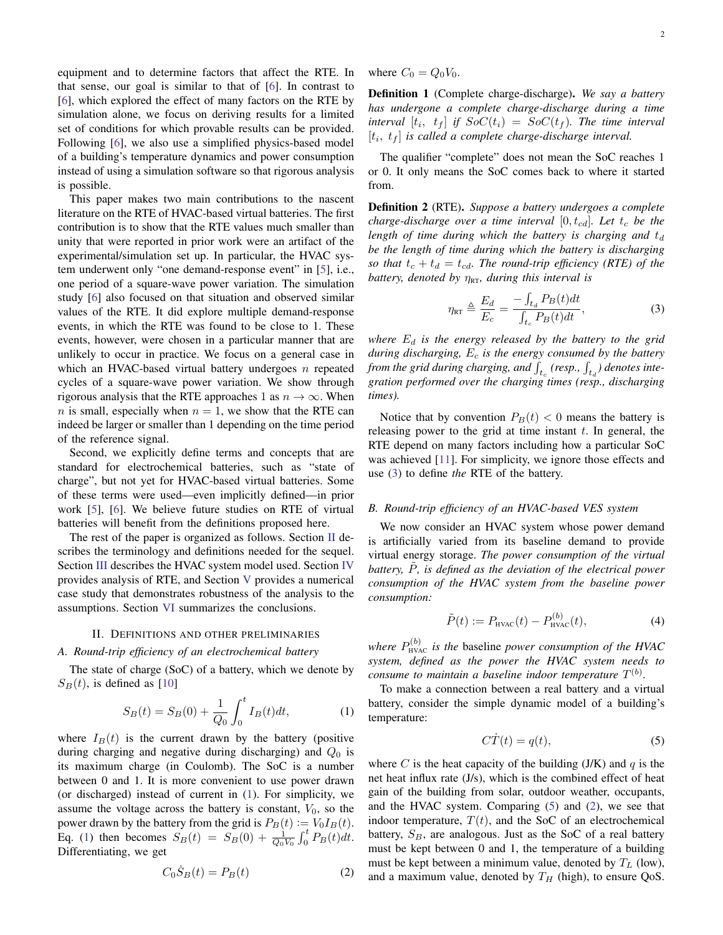equipment and to determine factors that affect the RTE. In that sense, our goal is similar to that of [\[6\]](#page-7-5). In contrast to [\[6\]](#page-7-5), which explored the effect of many factors on the RTE by simulation alone, we focus on deriving results for a limited set of conditions for which provable results can be provided. Following [\[6\]](#page-7-5), we also use a simplified physics-based model of a building's temperature dynamics and power consumption instead of using a simulation software so that rigorous analysis is possible.

This paper makes two main contributions to the nascent literature on the RTE of HVAC-based virtual batteries. The first contribution is to show that the RTE values much smaller than unity that were reported in prior work were an artifact of the experimental/simulation set up. In particular, the HVAC system underwent only "one demand-response event" in [\[5\]](#page-7-4), i.e., one period of a square-wave power variation. The simulation study [\[6\]](#page-7-5) also focused on that situation and observed similar values of the RTE. It did explore multiple demand-response events, in which the RTE was found to be close to 1. These events, however, were chosen in a particular manner that are unlikely to occur in practice. We focus on a general case in which an HVAC-based virtual battery undergoes  $n$  repeated cycles of a square-wave power variation. We show through rigorous analysis that the RTE approaches 1 as  $n \to \infty$ . When n is small, especially when  $n = 1$ , we show that the RTE can indeed be larger or smaller than 1 depending on the time period of the reference signal.

Second, we explicitly define terms and concepts that are standard for electrochemical batteries, such as "state of charge", but not yet for HVAC-based virtual batteries. Some of these terms were used—even implicitly defined—in prior work [\[5\]](#page-7-4), [\[6\]](#page-7-5). We believe future studies on RTE of virtual batteries will benefit from the definitions proposed here.

The rest of the paper is organized as follows. Section  $II$  describes the terminology and definitions needed for the sequel. Section [III](#page-2-0) describes the HVAC system model used. Section [IV](#page-4-0) provides analysis of RTE, and Section [V](#page-6-0) provides a numerical case study that demonstrates robustness of the analysis to the assumptions. Section [VI](#page-7-9) summarizes the conclusions.

#### II. DEFINITIONS AND OTHER PRELIMINARIES

# <span id="page-1-0"></span>*A. Round-trip efficiency of an electrochemical battery*

The state of charge (SoC) of a battery, which we denote by  $S_B(t)$ , is defined as [\[10\]](#page-7-10)

$$
S_B(t) = S_B(0) + \frac{1}{Q_0} \int_0^t I_B(t)dt,
$$
 (1)

where  $I_B(t)$  is the current drawn by the battery (positive during charging and negative during discharging) and  $Q_0$  is its maximum charge (in Coulomb). The SoC is a number between 0 and 1. It is more convenient to use power drawn (or discharged) instead of current in [\(1\)](#page-1-1). For simplicity, we assume the voltage across the battery is constant,  $V_0$ , so the power drawn by the battery from the grid is  $P_B(t) := V_0 I_B(t)$ . Eq. [\(1\)](#page-1-1) then becomes  $S_B(t) = S_B(0) + \frac{1}{Q_0 V_0} \int_0^t P_B(t) dt$ . Differentiating, we get

$$
C_0 \dot{S}_B(t) = P_B(t) \tag{2}
$$

where  $C_0 = Q_0 V_0$ .

<span id="page-1-5"></span>Definition 1 (Complete charge-discharge). *We say a battery has undergone a complete charge-discharge during a time*  $\int$ *interval*  $[t_i, t_f]$  *if*  $SoC(t_i) = SoC(t_f)$ *. The time interval*  $[t_i, t_f]$  is called a complete charge-discharge interval.

The qualifier "complete" does not mean the SoC reaches 1 or 0. It only means the SoC comes back to where it started from.

<span id="page-1-6"></span>Definition 2 (RTE). *Suppose a battery undergoes a complete charge-discharge over a time interval*  $[0, t_{cd}]$ *. Let*  $t_c$  *be the length of time during which the battery is charging and*  $t_d$ *be the length of time during which the battery is discharging so that*  $t_c + t_d = t_{cd}$ . The round-trip efficiency (RTE) of the *battery, denoted by*  $\eta_{RT}$ *, during this interval is* 

<span id="page-1-2"></span>
$$
\eta_{\rm RT} \triangleq \frac{E_d}{E_c} = \frac{-\int_{t_d} P_B(t)dt}{\int_{t_c} P_B(t)dt},\tag{3}
$$

*where*  $E_d$  *is the energy released by the battery to the grid during discharging,*  $E_c$  *is the energy consumed by the battery* from the grid during charging, and  $\int_{t_c}$  (resp.,  $\int_{t_d}$ ) denotes inte*gration performed over the charging times (resp., discharging times).*

Notice that by convention  $P_B(t) < 0$  means the battery is releasing power to the grid at time instant  $t$ . In general, the RTE depend on many factors including how a particular SoC was achieved [\[11\]](#page-7-11). For simplicity, we ignore those effects and use [\(3\)](#page-1-2) to define *the* RTE of the battery.

# *B. Round-trip efficiency of an HVAC-based VES system*

We now consider an HVAC system whose power demand is artificially varied from its baseline demand to provide virtual energy storage. *The power consumption of the virtual battery, P, is defined as the deviation of the electrical power consumption of the HVAC system from the baseline power consumption:*

<span id="page-1-7"></span>
$$
\tilde{P}(t) := P_{\text{HVAC}}(t) - P_{\text{HVAC}}^{(b)}(t),\tag{4}
$$

where  $P_{\text{HVAC}}^{(b)}$  is the baseline *power consumption of the HVAC system, defined as the power the HVAC system needs to consume to maintain a baseline indoor temperature*  $T^{(b)}$ *.* 

<span id="page-1-1"></span>To make a connection between a real battery and a virtual battery, consider the simple dynamic model of a building's temperature:

<span id="page-1-3"></span>
$$
C\dot{T}(t) = q(t),\tag{5}
$$

<span id="page-1-4"></span>where C is the heat capacity of the building  $(J/K)$  and q is the net heat influx rate (J/s), which is the combined effect of heat gain of the building from solar, outdoor weather, occupants, and the HVAC system. Comparing [\(5\)](#page-1-3) and [\(2\)](#page-1-4), we see that indoor temperature,  $T(t)$ , and the SoC of an electrochemical battery,  $S_B$ , are analogous. Just as the SoC of a real battery must be kept between 0 and 1, the temperature of a building must be kept between a minimum value, denoted by  $T_L$  (low), and a maximum value, denoted by  $T_H$  (high), to ensure QoS.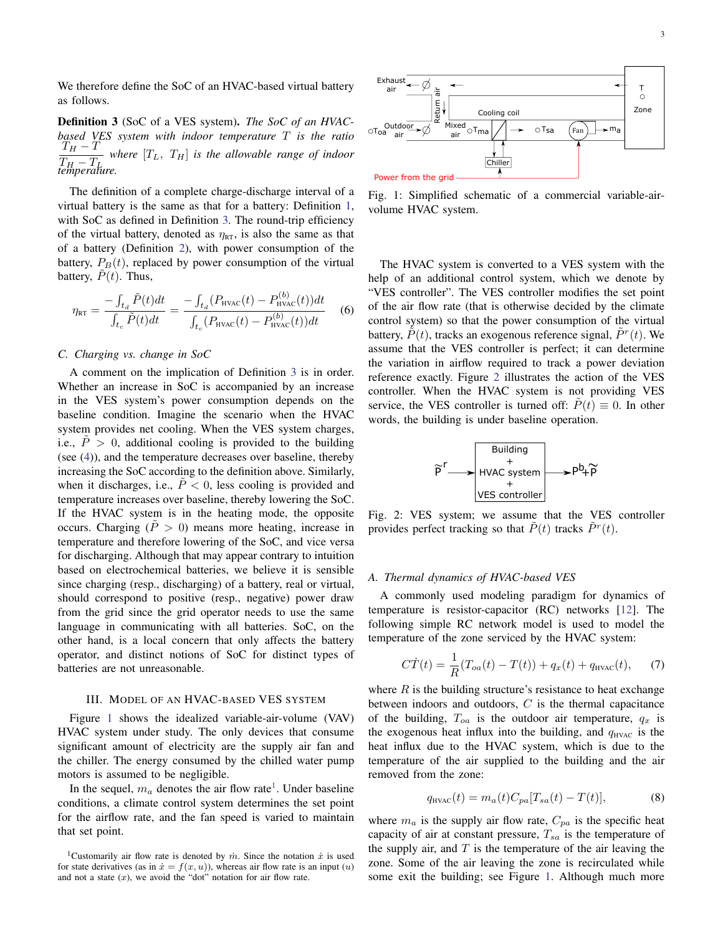We therefore define the SoC of an HVAC-based virtual battery as follows.

<span id="page-2-1"></span>Definition 3 (SoC of a VES system). *The SoC of an HVACbased VES system with indoor temperature* T *is the ratio*  $T_H - T$  $\frac{F_H - T_L}{T_H - T_L}$  where  $[T_L, T_H]$  is the allowable range of indoor *temperature.*

The definition of a complete charge-discharge interval of a virtual battery is the same as that for a battery: Definition [1,](#page-1-5) with SoC as defined in Definition [3.](#page-2-1) The round-trip efficiency of the virtual battery, denoted as  $\eta_{RT}$ , is also the same as that of a battery (Definition [2\)](#page-1-6), with power consumption of the battery,  $P_B(t)$ , replaced by power consumption of the virtual battery,  $P(t)$ . Thus,

$$
\eta_{\text{RT}} = \frac{-\int_{t_d} \tilde{P}(t)dt}{\int_{t_c} \tilde{P}(t)dt} = \frac{-\int_{t_d} (P_{\text{HVAC}}(t) - P_{\text{HVAC}}^{(b)}(t))dt}{\int_{t_c} (P_{\text{HVAC}}(t) - P_{\text{HVAC}}^{(b)}(t))dt} \tag{6}
$$

## *C. Charging vs. change in SoC*

A comment on the implication of Definition [3](#page-2-1) is in order. Whether an increase in SoC is accompanied by an increase in the VES system's power consumption depends on the baseline condition. Imagine the scenario when the HVAC system provides net cooling. When the VES system charges, i.e.,  $P > 0$ , additional cooling is provided to the building (see [\(4\)](#page-1-7)), and the temperature decreases over baseline, thereby increasing the SoC according to the definition above. Similarly, when it discharges, i.e.,  $\tilde{P}$  < 0, less cooling is provided and temperature increases over baseline, thereby lowering the SoC. If the HVAC system is in the heating mode, the opposite occurs. Charging  $(\tilde{P} > 0)$  means more heating, increase in temperature and therefore lowering of the SoC, and vice versa for discharging. Although that may appear contrary to intuition based on electrochemical batteries, we believe it is sensible since charging (resp., discharging) of a battery, real or virtual, should correspond to positive (resp., negative) power draw from the grid since the grid operator needs to use the same language in communicating with all batteries. SoC, on the other hand, is a local concern that only affects the battery operator, and distinct notions of SoC for distinct types of batteries are not unreasonable. For the method of the state of the state of an interaction of the state of  $\theta$  and  $\theta$  is  $\theta$  and  $\theta$  is  $\theta$  and  $\theta$  and  $\theta$  and  $\theta$  and  $\theta$  and  $\theta$  and  $\theta$  and  $\theta$  and  $\theta$  and  $\theta$  and  $\theta$  and  $\theta$  and  $\theta$ 

# III. MODEL OF AN HVAC-BASED VES SYSTEM

<span id="page-2-0"></span>Figure [1](#page-2-2) shows the idealized variable-air-volume (VAV) HVAC system under study. The only devices that consume significant amount of electricity are the supply air fan and the chiller. The energy consumed by the chilled water pump motors is assumed to be negligible.

In the sequel,  $m_a$  denotes the air flow rate<sup>[1](#page-2-3)</sup>. Under baseline conditions, a climate control system determines the set point for the airflow rate, and the fan speed is varied to maintain that set point.

<span id="page-2-2"></span>

Fig. 1: Simplified schematic of a commercial variable-airvolume HVAC system.

<span id="page-2-7"></span>The HVAC system is converted to a VES system with the help of an additional control system, which we denote by "VES controller". The VES controller modifies the set point of the air flow rate (that is otherwise decided by the climate control system) so that the power consumption of the virtual battery,  $\tilde{P}(t)$ , tracks an exogenous reference signal,  $\tilde{P}^r(t)$ . We assume that the VES controller is perfect; it can determine the variation in airflow required to track a power deviation reference exactly. Figure [2](#page-2-4) illustrates the action of the VES controller. When the HVAC system is not providing VES service, the VES controller is turned off:  $\dot{P}(t) \equiv 0$ . In other words, the building is under baseline operation.

<span id="page-2-4"></span>

Fig. 2: VES system; we assume that the VES controller provides perfect tracking so that  $\tilde{P}(t)$  tracks  $\tilde{P}^r(t)$ .

## *A. Thermal dynamics of HVAC-based VES*

A commonly used modeling paradigm for dynamics of temperature is resistor-capacitor (RC) networks [\[12\]](#page-7-12). The following simple RC network model is used to model the temperature of the zone serviced by the HVAC system:

<span id="page-2-5"></span>
$$
C\dot{T}(t) = \frac{1}{R}(T_{oa}(t) - T(t)) + q_x(t) + q_{\text{HVAC}}(t), \quad (7)
$$

where  $R$  is the building structure's resistance to heat exchange between indoors and outdoors,  $C$  is the thermal capacitance of the building,  $T_{oa}$  is the outdoor air temperature,  $q_x$  is the exogenous heat influx into the building, and  $q_{\text{HVAC}}$  is the heat influx due to the HVAC system, which is due to the temperature of the air supplied to the building and the air removed from the zone:

<span id="page-2-6"></span>
$$
q_{\text{HVAC}}(t) = m_a(t)C_{pa}[T_{sa}(t) - T(t)],
$$
\n(8)

where  $m_a$  is the supply air flow rate,  $C_{pa}$  is the specific heat capacity of air at constant pressure,  $T_{sa}$  is the temperature of the supply air, and  $T$  is the temperature of the air leaving the zone. Some of the air leaving the zone is recirculated while some exit the building; see Figure [1.](#page-2-2) Although much more

<span id="page-2-3"></span><sup>&</sup>lt;sup>1</sup>Customarily air flow rate is denoted by  $\dot{m}$ . Since the notation  $\dot{x}$  is used for state derivatives (as in  $\dot{x} = f(x, u)$ ), whereas air flow rate is an input (u)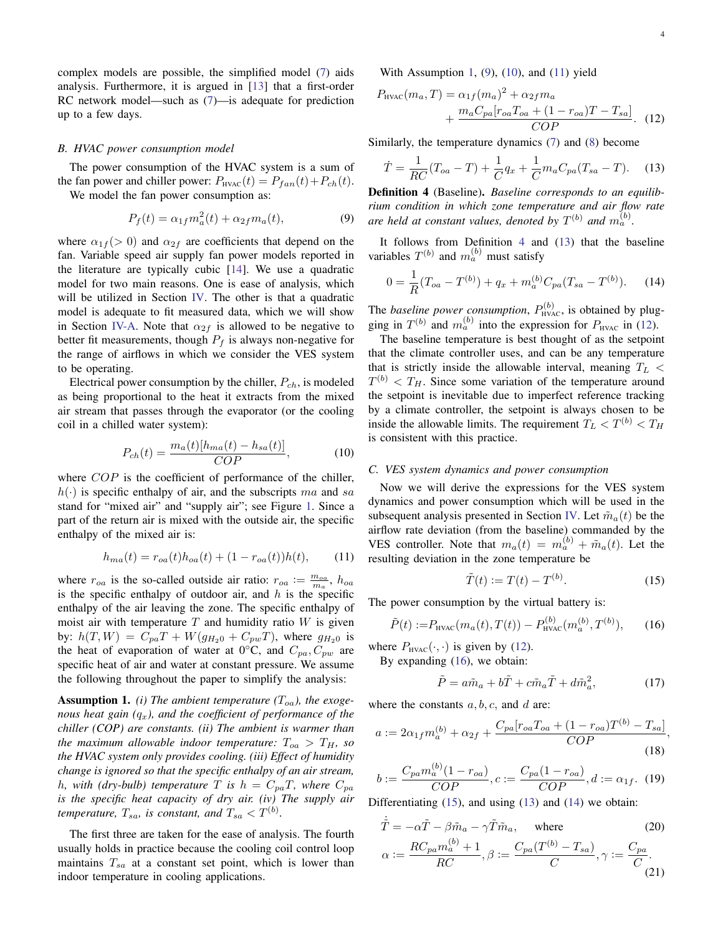complex models are possible, the simplified model [\(7\)](#page-2-5) aids analysis. Furthermore, it is argued in [\[13\]](#page-7-13) that a first-order RC network model—such as [\(7\)](#page-2-5)—is adequate for prediction up to a few days.

#### *B. HVAC power consumption model*

The power consumption of the HVAC system is a sum of the fan power and chiller power:  $P_{\text{HVAC}}(t) = P_{fan}(t) + P_{ch}(t)$ .

We model the fan power consumption as:

$$
P_f(t) = \alpha_{1f} m_a^2(t) + \alpha_{2f} m_a(t), \qquad (9)
$$

where  $\alpha_{1f}$  (> 0) and  $\alpha_{2f}$  are coefficients that depend on the fan. Variable speed air supply fan power models reported in the literature are typically cubic [\[14\]](#page-7-14). We use a quadratic model for two main reasons. One is ease of analysis, which will be utilized in Section [IV.](#page-4-0) The other is that a quadratic model is adequate to fit measured data, which we will show in Section [IV-A.](#page-4-1) Note that  $\alpha_{2f}$  is allowed to be negative to better fit measurements, though  $P_f$  is always non-negative for the range of airflows in which we consider the VES system to be operating.

Electrical power consumption by the chiller,  $P_{ch}$ , is modeled as being proportional to the heat it extracts from the mixed air stream that passes through the evaporator (or the cooling coil in a chilled water system):

$$
P_{ch}(t) = \frac{m_a(t)[h_{ma}(t) - h_{sa}(t)]}{COP},
$$
\n(10)

where *COP* is the coefficient of performance of the chiller,  $h(\cdot)$  is specific enthalpy of air, and the subscripts ma and sa stand for "mixed air" and "supply air"; see Figure [1.](#page-2-2) Since a part of the return air is mixed with the outside air, the specific enthalpy of the mixed air is:

$$
h_{ma}(t) = r_{oa}(t)h_{oa}(t) + (1 - r_{oa}(t))h(t), \qquad (11)
$$

where  $r_{oa}$  is the so-called outside air ratio:  $r_{oa} := \frac{m_{oa}}{m_a}$ ,  $h_{oa}$ is the specific enthalpy of outdoor air, and  $h$  is the specific enthalpy of the air leaving the zone. The specific enthalpy of moist air with temperature  $T$  and humidity ratio  $W$  is given by:  $h(T, W) = C_{pa}T + W(g_{H_20} + C_{pw}T)$ , where  $g_{H_20}$  is the heat of evaporation of water at 0<sup>°</sup>C, and  $C_{pa}$ ,  $C_{pw}$  are specific heat of air and water at constant pressure. We assume the following throughout the paper to simplify the analysis:

<span id="page-3-0"></span>**Assumption 1.** *(i)* The ambient temperature  $(T_{oa})$ , the exoge*nous heat gain*  $(q_x)$ *, and the coefficient of performance of the chiller (COP) are constants. (ii) The ambient is warmer than the maximum allowable indoor temperature:*  $T_{oa} > T_H$ , so *the HVAC system only provides cooling. (iii) Effect of humidity change is ignored so that the specific enthalpy of an air stream, h*, with (dry-bulb) temperature T is  $h = C_{pa}T$ , where  $C_{pa}$ *is the specific heat capacity of dry air. (iv) The supply air temperature,*  $T_{sa}$ *, is constant, and*  $T_{sa} < T^{(b)}$ *.* 

The first three are taken for the ease of analysis. The fourth usually holds in practice because the cooling coil control loop maintains  $T_{sa}$  at a constant set point, which is lower than indoor temperature in cooling applications.

With Assumption [1,](#page-3-0)  $(9)$ ,  $(10)$ , and  $(11)$  yield

<span id="page-3-6"></span>
$$
P_{\text{HVAC}}(m_a, T) = \alpha_{1f}(m_a)^2 + \alpha_{2f}m_a + \frac{m_a C_{pa}[r_{oa}T_{oa} + (1 - r_{oa})T - T_{sa}]}{COP}.
$$
 (12)

Similarly, the temperature dynamics [\(7\)](#page-2-5) and [\(8\)](#page-2-6) become

<span id="page-3-5"></span>
$$
\dot{T} = \frac{1}{RC}(T_{oa} - T) + \frac{1}{C}q_x + \frac{1}{C}m_aC_{pa}(T_{sa} - T). \tag{13}
$$

<span id="page-3-4"></span><span id="page-3-1"></span>Definition 4 (Baseline). *Baseline corresponds to an equilibrium condition in which zone temperature and air flow rate* are held at constant values, denoted by  $T^{(b)}$  and  $m_a^{(b)}$ .

It follows from Definition [4](#page-3-4) and [\(13\)](#page-3-5) that the baseline variables  $T^{(b)}$  and  $m_a^{(b)}$  must satisfy

<span id="page-3-9"></span>
$$
0 = \frac{1}{R}(T_{oa} - T^{(b)}) + q_x + m_a^{(b)}C_{pa}(T_{sa} - T^{(b)}).
$$
 (14)

The *baseline power consumption*,  $P_{\text{HVAC}}^{(b)}$  is obtained by plugging in  $T^{(b)}$  and  $m_a^{(b)}$  into the expression for  $P_{\text{HVAC}}$  in [\(12\)](#page-3-6).

The baseline temperature is best thought of as the setpoint that the climate controller uses, and can be any temperature that is strictly inside the allowable interval, meaning  $T_L$  <  $T^{(b)} < T_H$ . Since some variation of the temperature around the setpoint is inevitable due to imperfect reference tracking by a climate controller, the setpoint is always chosen to be inside the allowable limits. The requirement  $T_L < T^{(b)} < T_H$ is consistent with this practice.

#### <span id="page-3-2"></span>*C. VES system dynamics and power consumption*

Now we will derive the expressions for the VES system dynamics and power consumption which will be used in the subsequent analysis presented in Section [IV.](#page-4-0) Let  $\tilde{m}_a(t)$  be the airflow rate deviation (from the baseline) commanded by the VES controller. Note that  $m_a(t) = m_a^{(b)} + \tilde{m}_a(t)$ . Let the resulting deviation in the zone temperature be

<span id="page-3-11"></span><span id="page-3-8"></span><span id="page-3-7"></span>
$$
\tilde{T}(t) := T(t) - T^{(b)}.\tag{15}
$$

<span id="page-3-3"></span>The power consumption by the virtual battery is:

$$
\tilde{P}(t) := P_{\text{HVAC}}(m_a(t), T(t)) - P_{\text{HVAC}}^{(b)}(m_a^{(b)}, T^{(b)}), \tag{16}
$$

where  $P_{\text{HVAC}}(\cdot, \cdot)$  is given by [\(12\)](#page-3-6).

By expanding [\(16\)](#page-3-7), we obtain:

<span id="page-3-14"></span><span id="page-3-13"></span><span id="page-3-10"></span>
$$
\tilde{P} = a\tilde{m}_a + b\tilde{T} + c\tilde{m}_a\tilde{T} + d\tilde{m}_a^2,\tag{17}
$$

where the constants  $a, b, c$ , and  $d$  are:

$$
a := 2\alpha_{1f}m_a^{(b)} + \alpha_{2f} + \frac{C_{pa}[r_{oa}T_{oa} + (1 - r_{oa})T^{(b)} - T_{sa}]}{COP},
$$
\n(18)

$$
b := \frac{C_{pa} m_a^{(b)} (1 - r_{oa})}{COP}, c := \frac{C_{pa} (1 - r_{oa})}{COP}, d := \alpha_{1f}. \tag{19}
$$

Differentiating [\(15\)](#page-3-8), and using [\(13\)](#page-3-5) and [\(14\)](#page-3-9) we obtain:

<span id="page-3-12"></span>
$$
\dot{\tilde{T}} = -\alpha \tilde{T} - \beta \tilde{m}_a - \gamma \tilde{T} \tilde{m}_a, \quad \text{where} \quad (20)
$$
\n
$$
\alpha := \frac{RC_{pa}m_a^{(b)} + 1}{RC}, \beta := \frac{C_{pa}(T^{(b)} - T_{sa})}{C}, \gamma := \frac{C_{pa}}{C}.
$$
\n(21)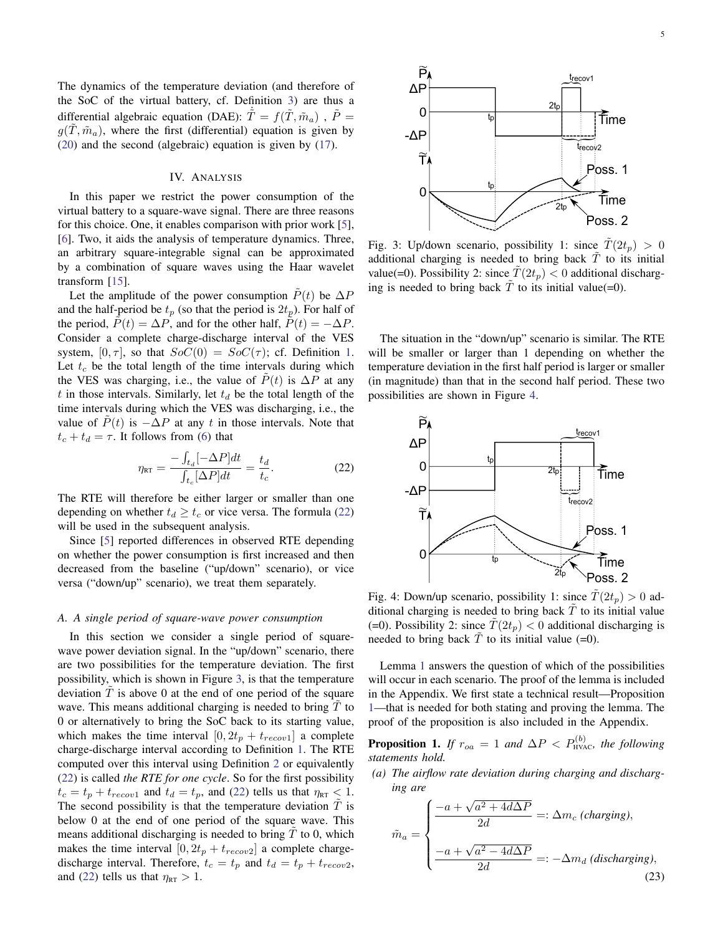The dynamics of the temperature deviation (and therefore of the SoC of the virtual battery, cf. Definition [3\)](#page-2-1) are thus a differential algebraic equation (DAE):  $\dot{\tilde{T}} = f(\tilde{T}, \tilde{m}_a)$ ,  $\tilde{P} =$  $g(T, \tilde{m}_a)$ , where the first (differential) equation is given by [\(20\)](#page-3-10) and the second (algebraic) equation is given by [\(17\)](#page-3-11).

# IV. ANALYSIS

<span id="page-4-0"></span>In this paper we restrict the power consumption of the virtual battery to a square-wave signal. There are three reasons for this choice. One, it enables comparison with prior work [\[5\]](#page-7-4), [\[6\]](#page-7-5). Two, it aids the analysis of temperature dynamics. Three, an arbitrary square-integrable signal can be approximated by a combination of square waves using the Haar wavelet transform [\[15\]](#page-7-15).

Let the amplitude of the power consumption  $\hat{P}(t)$  be  $\Delta P$ and the half-period be  $t_p$  (so that the period is  $2t_p$ ). For half of the period,  $\tilde{P}(t) = \Delta P$ , and for the other half,  $\tilde{P}(t) = -\Delta P$ . Consider a complete charge-discharge interval of the VES system,  $[0, \tau]$ , so that  $SoC(0) = SoC(\tau)$ ; cf. Definition [1.](#page-1-5) Let  $t_c$  be the total length of the time intervals during which the VES was charging, i.e., the value of  $P(t)$  is  $\Delta P$  at any t in those intervals. Similarly, let  $t_d$  be the total length of the time intervals during which the VES was discharging, i.e., the value of  $P(t)$  is  $-\Delta P$  at any t in those intervals. Note that  $t_c + t_d = \tau$ . It follows from [\(6\)](#page-2-7) that

$$
\eta_{\rm RT} = \frac{-\int_{t_d} [-\Delta P] dt}{\int_{t_c} [\Delta P] dt} = \frac{t_d}{t_c}.
$$
 (22)

The RTE will therefore be either larger or smaller than one depending on whether  $t_d \geq t_c$  or vice versa. The formula [\(22\)](#page-4-2) will be used in the subsequent analysis.

Since [\[5\]](#page-7-4) reported differences in observed RTE depending on whether the power consumption is first increased and then decreased from the baseline ("up/down" scenario), or vice versa ("down/up" scenario), we treat them separately.

## <span id="page-4-1"></span>*A. A single period of square-wave power consumption*

In this section we consider a single period of squarewave power deviation signal. In the "up/down" scenario, there are two possibilities for the temperature deviation. The first possibility, which is shown in Figure [3,](#page-4-3) is that the temperature deviation  $\ddot{T}$  is above 0 at the end of one period of the square wave. This means additional charging is needed to bring  $\tilde{T}$  to 0 or alternatively to bring the SoC back to its starting value, which makes the time interval  $[0, 2t_p + t_{recov1}]$  a complete charge-discharge interval according to Definition [1.](#page-1-5) The RTE computed over this interval using Definition [2](#page-1-6) or equivalently [\(22\)](#page-4-2) is called *the RTE for one cycle*. So for the first possibility  $t_c = t_p + t_{recov1}$  and  $t_d = t_p$ , and [\(22\)](#page-4-2) tells us that  $\eta_{RT} < 1$ . The second possibility is that the temperature deviation  $T$  is below 0 at the end of one period of the square wave. This means additional discharging is needed to bring  $T$  to 0, which makes the time interval  $[0, 2t_p + t_{recov2}]$  a complete chargedischarge interval. Therefore,  $t_c = t_p$  and  $t_d = t_p + t_{recov2}$ , and [\(22\)](#page-4-2) tells us that  $\eta_{\text{RT}} > 1$ .

<span id="page-4-3"></span>

Fig. 3: Up/down scenario, possibility 1: since  $T(2t_p) > 0$ additional charging is needed to bring back  $\tilde{T}$  to its initial value(=0). Possibility 2: since  $T(2t_p) < 0$  additional discharging is needed to bring back  $T$  to its initial value(=0).

The situation in the "down/up" scenario is similar. The RTE will be smaller or larger than 1 depending on whether the temperature deviation in the first half period is larger or smaller (in magnitude) than that in the second half period. These two possibilities are shown in Figure [4.](#page-4-4)

<span id="page-4-4"></span><span id="page-4-2"></span>

Fig. 4: Down/up scenario, possibility 1: since  $\tilde{T}(2t_n) > 0$  additional charging is needed to bring back  $\overline{T}$  to its initial value (=0). Possibility 2: since  $\tilde{T}(2t_p) < 0$  additional discharging is needed to bring back  $\hat{T}$  to its initial value (=0).

Lemma [1](#page-5-0) answers the question of which of the possibilities will occur in each scenario. The proof of the lemma is included in the Appendix. We first state a technical result—Proposition [1—](#page-4-5)that is needed for both stating and proving the lemma. The proof of the proposition is also included in the Appendix.

<span id="page-4-5"></span>**Proposition 1.** *If*  $r_{oa} = 1$  *and*  $\Delta P \langle P_{\text{HVAC}}^{(b)} \rangle$ , the following *statements hold.*

<span id="page-4-6"></span>*(a) The airflow rate deviation during charging and discharging are*

$$
\tilde{m}_a = \begin{cases}\n\frac{-a + \sqrt{a^2 + 4d\Delta P}}{2d} =: \Delta m_c \text{ (charging)}, \\
\frac{-a + \sqrt{a^2 - 4d\Delta P}}{2d} =: -\Delta m_d \text{ (discharging)},\n\end{cases}
$$
\n(23)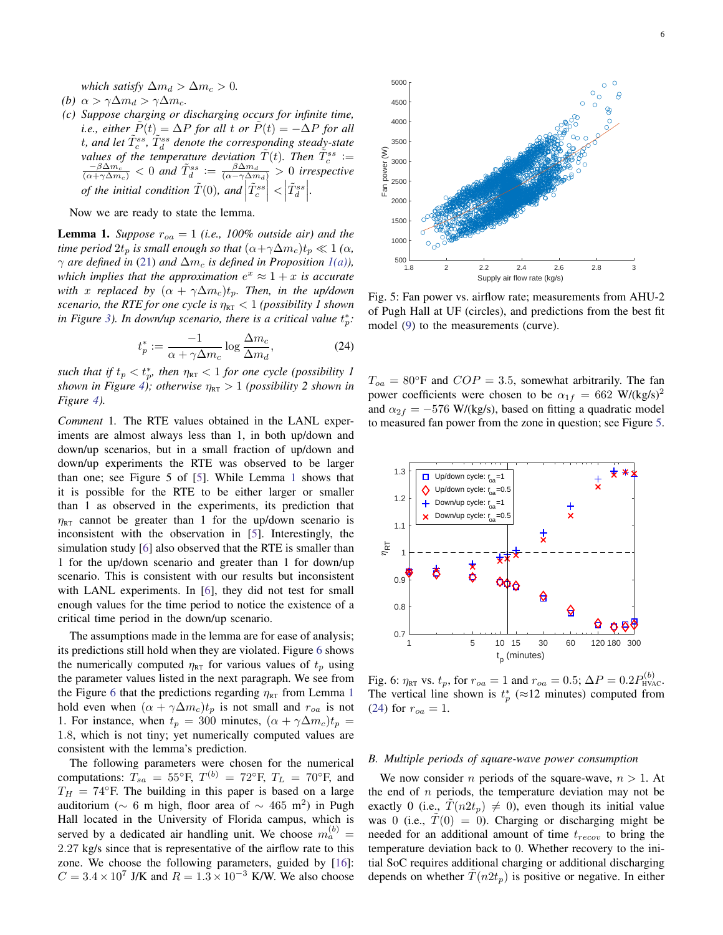*which satisfy*  $\Delta m_d > \Delta m_c > 0$ .

- <span id="page-5-6"></span>*(b)*  $\alpha > \gamma \Delta m_d > \gamma \Delta m_c$ .
- <span id="page-5-4"></span>*(c) Suppose charging or discharging occurs for infinite time, i.e., either*  $\dot{P}(t) = \Delta P$  *for all t or*  $\dot{P}(t) = -\Delta P$  *for all* t, and let  $\tilde{T}_c^{ss}$ ,  $\tilde{T}_d^{ss}$  denote the corresponding steady-state *values of the temperature deviation*  $\tilde{T}(t)$ *. Then*  $\tilde{T}_c^{ss} := \frac{-\beta \Delta m_c}{(\alpha + \gamma \Delta m_c)} < 0$  *and*  $\tilde{T}_d^{ss} := \frac{\beta \Delta m_d}{(\alpha - \gamma \Delta m_d)} > 0$  *irrespective* of the initial condition  $\tilde{T}(0)$ , and  $\left| \tilde{T}_c^{ss} \right| < \left| \tilde{T}_d^{ss} \right|$ .

Now we are ready to state the lemma.

<span id="page-5-0"></span>**Lemma 1.** *Suppose*  $r_{oa} = 1$  *(i.e., 100% outside air) and the time period*  $2t_p$  *is small enough so that*  $(\alpha + \gamma \Delta m_c)t_p \ll 1$   $(\alpha, \gamma)$  $\gamma$  *are defined in* [\(21\)](#page-3-12) *and*  $\Delta m_c$  *is defined in Proposition [1](#page-4-5)[\(a\)\)](#page-4-6)*, *which implies that the approximation*  $e^x \approx 1 + x$  *is accurate with* x *replaced by*  $(\alpha + \gamma \Delta m_c)t_p$ *. Then, in the up/down scenario, the RTE for one cycle is*  $\eta_{RT}$  < 1 *(possibility 1 shown* in Figure [3\)](#page-4-3). In down/up scenario, there is a critical value  $t_p^*$ :

$$
t_p^* := \frac{-1}{\alpha + \gamma \Delta m_c} \log \frac{\Delta m_c}{\Delta m_d},\tag{24}
$$

*such that if*  $t_p < t_p^*$ , then  $\eta_{RT} < 1$  for one cycle (possibility 1 *shown in Figure [4\)](#page-4-4); otherwise*  $\eta_{RT} > 1$  *(possibility 2 shown in Figure [4\)](#page-4-4).*

<span id="page-5-5"></span>*Comment* 1*.* The RTE values obtained in the LANL experiments are almost always less than 1, in both up/down and down/up scenarios, but in a small fraction of up/down and down/up experiments the RTE was observed to be larger than one; see Figure 5 of [\[5\]](#page-7-4). While Lemma [1](#page-5-0) shows that it is possible for the RTE to be either larger or smaller than 1 as observed in the experiments, its prediction that  $\eta_{RT}$  cannot be greater than 1 for the up/down scenario is inconsistent with the observation in [\[5\]](#page-7-4). Interestingly, the simulation study [\[6\]](#page-7-5) also observed that the RTE is smaller than 1 for the up/down scenario and greater than 1 for down/up scenario. This is consistent with our results but inconsistent with LANL experiments. In [\[6\]](#page-7-5), they did not test for small enough values for the time period to notice the existence of a critical time period in the down/up scenario.

The assumptions made in the lemma are for ease of analysis; its predictions still hold when they are violated. Figure [6](#page-5-1) shows the numerically computed  $\eta_{RT}$  for various values of  $t_p$  using the parameter values listed in the next paragraph. We see from the Figure [6](#page-5-1) that the predictions regarding  $\eta_{RT}$  from Lemma [1](#page-5-0) hold even when  $(\alpha + \gamma \Delta m_c)t_p$  is not small and  $r_{oa}$  is not 1. For instance, when  $t_p = 300$  minutes,  $(\alpha + \gamma \Delta m_c)t_p =$ 1.8, which is not tiny; yet numerically computed values are consistent with the lemma's prediction.

The following parameters were chosen for the numerical computations:  $T_{sa} = 55^{\circ}F$ ,  $T^{(b)} = 72^{\circ}F$ ,  $T_L = 70^{\circ}F$ , and  $T_H = 74°$ F. The building in this paper is based on a large auditorium ( $\sim 6$  m high, floor area of  $\sim 465$  m<sup>2</sup>) in Pugh Hall located in the University of Florida campus, which is served by a dedicated air handling unit. We choose  $m_a^{(b)} =$ 2.27 kg/s since that is representative of the airflow rate to this zone. We choose the following parameters, guided by [\[16\]](#page-7-16):  $C = 3.4 \times 10^7$  J/K and  $R = 1.3 \times 10^{-3}$  K/W. We also choose

<span id="page-5-2"></span>

<span id="page-5-3"></span>Fig. 5: Fan power vs. airflow rate; measurements from AHU-2 of Pugh Hall at UF (circles), and predictions from the best fit model [\(9\)](#page-3-1) to the measurements (curve).

 $T_{oa} = 80°$ F and  $COP = 3.5$ , somewhat arbitrarily. The fan power coefficients were chosen to be  $\alpha_{1f} = 662 \text{ W/(kg/s)}^2$ and  $\alpha_{2f} = -576 \text{ W/(kg/s)}$ , based on fitting a quadratic model to measured fan power from the zone in question; see Figure [5.](#page-5-2)

<span id="page-5-1"></span>

Fig. 6:  $\eta_{RT}$  vs.  $t_p$ , for  $r_{oa} = 1$  and  $r_{oa} = 0.5$ ;  $\Delta P = 0.2 P_{HVAC}^{(b)}$ . The vertical line shown is  $t_p^*$  ( $\approx$ 12 minutes) computed from [\(24\)](#page-5-3) for  $r_{oa} = 1$ .

#### *B. Multiple periods of square-wave power consumption*

We now consider *n* periods of the square-wave,  $n > 1$ . At the end of  $n$  periods, the temperature deviation may not be exactly 0 (i.e.,  $T(n2t_p) \neq 0$ ), even though its initial value was 0 (i.e.,  $T(0) = 0$ ). Charging or discharging might be needed for an additional amount of time  $t_{recov}$  to bring the temperature deviation back to 0. Whether recovery to the initial SoC requires additional charging or additional discharging depends on whether  $\hat{T}(n2t_p)$  is positive or negative. In either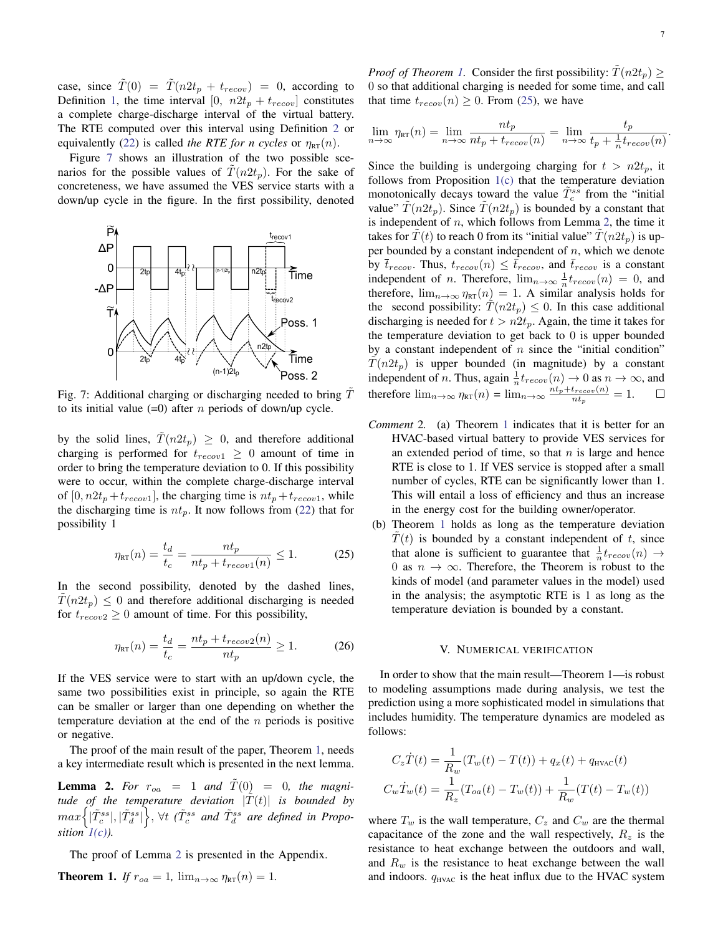.

case, since  $\tilde{T}(0) = \tilde{T}(n2t_p + t_{recov}) = 0$ , according to Definition [1,](#page-1-5) the time interval [0,  $n2t_p + t_{recov}$ ] constitutes a complete charge-discharge interval of the virtual battery. The RTE computed over this interval using Definition [2](#page-1-6) or equivalently [\(22\)](#page-4-2) is called *the RTE for n cycles* or  $\eta_{RT}(n)$ .

Figure [7](#page-6-1) shows an illustration of the two possible scenarios for the possible values of  $T(n2t_p)$ . For the sake of concreteness, we have assumed the VES service starts with a down/up cycle in the figure. In the first possibility, denoted

<span id="page-6-1"></span>

Fig. 7: Additional charging or discharging needed to bring  $T$ to its initial value  $(=0)$  after *n* periods of down/up cycle.

by the solid lines,  $\tilde{T}(n2t_p) \geq 0$ , and therefore additional charging is performed for  $t_{recov1} \geq 0$  amount of time in order to bring the temperature deviation to 0. If this possibility were to occur, within the complete charge-discharge interval of  $[0, n2t_p + t_{recov1}]$ , the charging time is  $nt_p + t_{recov1}$ , while the discharging time is  $nt_p$ . It now follows from [\(22\)](#page-4-2) that for possibility 1

$$
\eta_{\text{RT}}(n) = \frac{t_d}{t_c} = \frac{nt_p}{nt_p + t_{recov1}(n)} \le 1.
$$
 (25)

In the second possibility, denoted by the dashed lines,  $T(n2t_p) \leq 0$  and therefore additional discharging is needed for  $t_{recov2} \geq 0$  amount of time. For this possibility,

$$
\eta_{\rm RT}(n) = \frac{t_d}{t_c} = \frac{nt_p + t_{recov2}(n)}{nt_p} \ge 1.
$$
 (26)

If the VES service were to start with an up/down cycle, the same two possibilities exist in principle, so again the RTE can be smaller or larger than one depending on whether the temperature deviation at the end of the  $n$  periods is positive or negative.

The proof of the main result of the paper, Theorem [1,](#page-6-2) needs a key intermediate result which is presented in the next lemma.

<span id="page-6-3"></span>**Lemma 2.** For  $r_{oa} = 1$  and  $\dot{T}(0) = 0$ , the magni*tude of the temperature deviation*  $|T(t)|$  *is bounded by*  $max\Big\{|\tilde{T}^{ss}_c|,|\tilde{T}^{ss}_d|\Big\},\,\forall t\,\,(\tilde{T}^{ss}_c\,\,and\,\,\tilde{T}^{ss}_d\,\,are\,\,defined\,\,in\,\,Propo$ *sition*  $I(c)$ *)*.

The proof of Lemma [2](#page-6-3) is presented in the Appendix.

<span id="page-6-2"></span>**Theorem 1.** If 
$$
r_{oa} = 1
$$
,  $\lim_{n \to \infty} \eta_{RT}(n) = 1$ .

*Proof of Theorem [1.](#page-6-2)* Consider the first possibility:  $T(n2t_p) \geq$ 0 so that additional charging is needed for some time, and call that time  $t_{recov}(n) \geq 0$ . From [\(25\)](#page-6-4), we have

$$
\lim_{n \to \infty} \eta_{\text{RT}}(n) = \lim_{n \to \infty} \frac{nt_p}{nt_p + t_{recov}(n)} = \lim_{n \to \infty} \frac{t_p}{t_p + \frac{1}{n}t_{recov}(n)}
$$

Since the building is undergoing charging for  $t > n2t_p$ , it follows from Proposition  $1(c)$  $1(c)$  that the temperature deviation monotonically decays toward the value  $\tilde{T}_c^{ss}$  from the "initial value"  $T(n2t_p)$ . Since  $T(n2t_p)$  is bounded by a constant that is independent of  $n$ , which follows from Lemma [2,](#page-6-3) the time it takes for  $T(t)$  to reach 0 from its "initial value"  $T(n2t_p)$  is upper bounded by a constant independent of  $n$ , which we denote by  $\overline{t}_{recov}$ . Thus,  $t_{recov}(n) \leq \overline{t}_{recov}$ , and  $\overline{t}_{recov}$  is a constant independent of *n*. Therefore,  $\lim_{n\to\infty} \frac{1}{n} t_{recov}(n) = 0$ , and therefore,  $\lim_{n\to\infty} \eta_{RT}(n) = 1$ . A similar analysis holds for the second possibility:  $T(n2t_p) \leq 0$ . In this case additional discharging is needed for  $t > n2t_p$ . Again, the time it takes for the temperature deviation to get back to 0 is upper bounded by a constant independent of  $n$  since the "initial condition"  $T(n2t_p)$  is upper bounded (in magnitude) by a constant independent of *n*. Thus, again  $\frac{1}{n} t_{recov}(n) \to 0$  as  $n \to \infty$ , and therefore  $\lim_{n\to\infty} \eta_{RT}(n) = \lim_{n\to\infty} \frac{nt_p + t_{recov}(n)}{nt_p}$  $\frac{a_{recov}(n)}{n t_p} = 1.$  $\Box$ 

- *Comment* 2*.* (a) Theorem [1](#page-6-2) indicates that it is better for an HVAC-based virtual battery to provide VES services for an extended period of time, so that  $n$  is large and hence RTE is close to 1. If VES service is stopped after a small number of cycles, RTE can be significantly lower than 1. This will entail a loss of efficiency and thus an increase in the energy cost for the building owner/operator.
- <span id="page-6-4"></span>(b) Theorem [1](#page-6-2) holds as long as the temperature deviation  $T(t)$  is bounded by a constant independent of t, since that alone is sufficient to guarantee that  $\frac{1}{n}t_{recov}(n) \rightarrow$ 0 as  $n \to \infty$ . Therefore, the Theorem is robust to the kinds of model (and parameter values in the model) used in the analysis; the asymptotic RTE is 1 as long as the temperature deviation is bounded by a constant.

## V. NUMERICAL VERIFICATION

<span id="page-6-0"></span>In order to show that the main result—Theorem 1—is robust to modeling assumptions made during analysis, we test the prediction using a more sophisticated model in simulations that includes humidity. The temperature dynamics are modeled as follows:

$$
C_z \dot{T}(t) = \frac{1}{R_w} (T_w(t) - T(t)) + q_x(t) + q_{\text{HVAC}}(t)
$$
  

$$
C_w \dot{T}_w(t) = \frac{1}{R_z} (T_{oa}(t) - T_w(t)) + \frac{1}{R_w} (T(t) - T_w(t))
$$

where  $T_w$  is the wall temperature,  $C_z$  and  $C_w$  are the thermal capacitance of the zone and the wall respectively,  $R_z$  is the resistance to heat exchange between the outdoors and wall, and  $R_w$  is the resistance to heat exchange between the wall and indoors.  $q_{\text{HVAC}}$  is the heat influx due to the HVAC system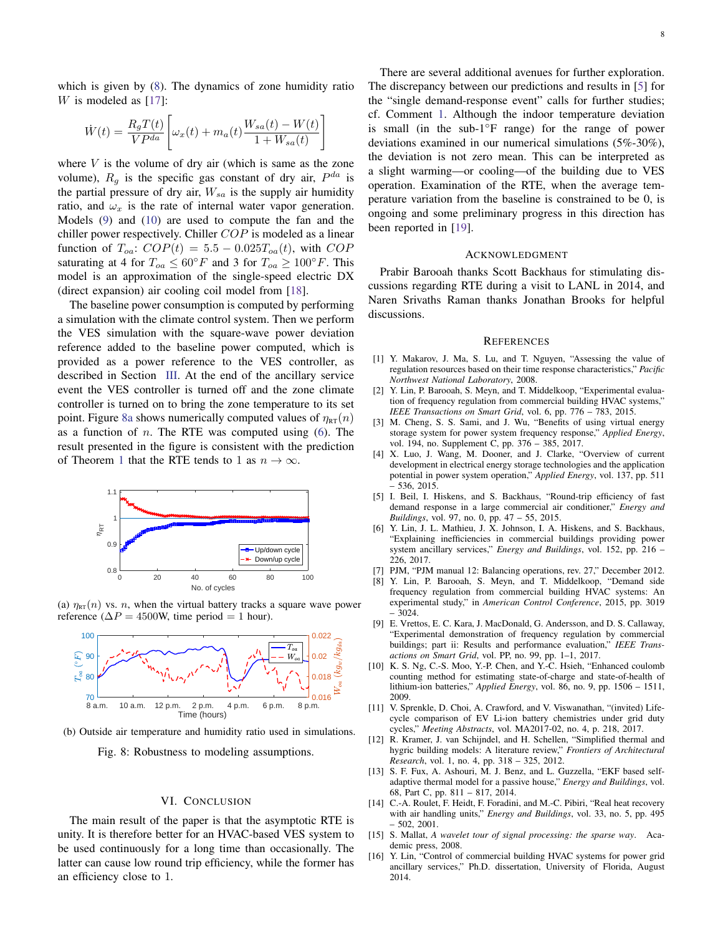which is given by [\(8\)](#page-2-6). The dynamics of zone humidity ratio W is modeled as  $[17]$ :

1

$$
\dot{W}(t) = \frac{R_g T(t)}{V P^{da}} \left[ \omega_x(t) + m_a(t) \frac{W_{sa}(t) - W(t)}{1 + W_{sa}(t)} \right]
$$

where  $V$  is the volume of dry air (which is same as the zone volume),  $R_g$  is the specific gas constant of dry air,  $P^{da}$  is the partial pressure of dry air,  $W_{sa}$  is the supply air humidity ratio, and  $\omega_x$  is the rate of internal water vapor generation. Models [\(9\)](#page-3-1) and [\(10\)](#page-3-2) are used to compute the fan and the chiller power respectively. Chiller COP is modeled as a linear function of  $T_{oa}$ :  $COP(t) = 5.5 - 0.025T_{oa}(t)$ , with  $COP$ saturating at 4 for  $T_{oa} \leq 60° F$  and 3 for  $T_{oa} \geq 100° F$ . This model is an approximation of the single-speed electric DX (direct expansion) air cooling coil model from [\[18\]](#page-8-1).

The baseline power consumption is computed by performing a simulation with the climate control system. Then we perform the VES simulation with the square-wave power deviation reference added to the baseline power computed, which is provided as a power reference to the VES controller, as described in Section [III.](#page-2-0) At the end of the ancillary service event the VES controller is turned off and the zone climate controller is turned on to bring the zone temperature to its set point. Figure [8a](#page-7-17) shows numerically computed values of  $\eta_{RT}(n)$ as a function of  $n$ . The RTE was computed using  $(6)$ . The result presented in the figure is consistent with the prediction of Theorem [1](#page-6-2) that the RTE tends to 1 as  $n \to \infty$ .

<span id="page-7-17"></span>

(a)  $\eta_{\text{RT}}(n)$  vs. *n*, when the virtual battery tracks a square wave power reference ( $\Delta P = 4500$ W, time period = 1 hour).



(b) Outside air temperature and humidity ratio used in simulations.

Fig. 8: Robustness to modeling assumptions.

## VI. CONCLUSION

<span id="page-7-9"></span>The main result of the paper is that the asymptotic RTE is unity. It is therefore better for an HVAC-based VES system to be used continuously for a long time than occasionally. The latter can cause low round trip efficiency, while the former has an efficiency close to 1.

There are several additional avenues for further exploration. The discrepancy between our predictions and results in [\[5\]](#page-7-4) for the "single demand-response event" calls for further studies; cf. Comment [1.](#page-5-5) Although the indoor temperature deviation is small (in the sub-1◦F range) for the range of power deviations examined in our numerical simulations (5%-30%), the deviation is not zero mean. This can be interpreted as a slight warming—or cooling—of the building due to VES operation. Examination of the RTE, when the average temperature variation from the baseline is constrained to be 0, is ongoing and some preliminary progress in this direction has been reported in [\[19\]](#page-8-2).

## ACKNOWLEDGMENT

Prabir Barooah thanks Scott Backhaus for stimulating discussions regarding RTE during a visit to LANL in 2014, and Naren Srivaths Raman thanks Jonathan Brooks for helpful discussions.

#### **REFERENCES**

- <span id="page-7-0"></span>[1] Y. Makarov, J. Ma, S. Lu, and T. Nguyen, "Assessing the value of regulation resources based on their time response characteristics," *Pacific Northwest National Laboratory*, 2008.
- <span id="page-7-1"></span>[2] Y. Lin, P. Barooah, S. Meyn, and T. Middelkoop, "Experimental evaluation of frequency regulation from commercial building HVAC systems," *IEEE Transactions on Smart Grid*, vol. 6, pp. 776 – 783, 2015.
- <span id="page-7-2"></span>[3] M. Cheng, S. S. Sami, and J. Wu, "Benefits of using virtual energy storage system for power system frequency response," *Applied Energy*, vol. 194, no. Supplement C, pp. 376 – 385, 2017.
- <span id="page-7-3"></span>[4] X. Luo, J. Wang, M. Dooner, and J. Clarke, "Overview of current development in electrical energy storage technologies and the application potential in power system operation," *Applied Energy*, vol. 137, pp. 511 – 536, 2015.
- <span id="page-7-4"></span>[5] I. Beil, I. Hiskens, and S. Backhaus, "Round-trip efficiency of fast demand response in a large commercial air conditioner," *Energy and Buildings*, vol. 97, no. 0, pp. 47 – 55, 2015.
- <span id="page-7-5"></span>[6] Y. Lin, J. L. Mathieu, J. X. Johnson, I. A. Hiskens, and S. Backhaus, "Explaining inefficiencies in commercial buildings providing power system ancillary services," *Energy and Buildings*, vol. 152, pp. 216 – 226, 2017.
- <span id="page-7-6"></span>[7] PJM, "PJM manual 12: Balancing operations, rev. 27," December 2012.
- <span id="page-7-7"></span>[8] Y. Lin, P. Barooah, S. Meyn, and T. Middelkoop, "Demand side frequency regulation from commercial building HVAC systems: An experimental study," in *American Control Conference*, 2015, pp. 3019 – 3024.
- <span id="page-7-8"></span>[9] E. Vrettos, E. C. Kara, J. MacDonald, G. Andersson, and D. S. Callaway, "Experimental demonstration of frequency regulation by commercial buildings; part ii: Results and performance evaluation," *IEEE Transactions on Smart Grid*, vol. PP, no. 99, pp. 1–1, 2017.
- <span id="page-7-10"></span>[10] K. S. Ng, C.-S. Moo, Y.-P. Chen, and Y.-C. Hsieh, "Enhanced coulomb counting method for estimating state-of-charge and state-of-health of lithium-ion batteries," *Applied Energy*, vol. 86, no. 9, pp. 1506 – 1511, 2009.
- <span id="page-7-11"></span>[11] V. Sprenkle, D. Choi, A. Crawford, and V. Viswanathan, "(invited) Lifecycle comparison of EV Li-ion battery chemistries under grid duty cycles," *Meeting Abstracts*, vol. MA2017-02, no. 4, p. 218, 2017.
- <span id="page-7-12"></span>[12] R. Kramer, J. van Schijndel, and H. Schellen, "Simplified thermal and hygric building models: A literature review," *Frontiers of Architectural Research*, vol. 1, no. 4, pp. 318 – 325, 2012.
- <span id="page-7-13"></span>[13] S. F. Fux, A. Ashouri, M. J. Benz, and L. Guzzella, "EKF based selfadaptive thermal model for a passive house," *Energy and Buildings*, vol. 68, Part C, pp. 811 – 817, 2014.
- <span id="page-7-14"></span>[14] C.-A. Roulet, F. Heidt, F. Foradini, and M.-C. Pibiri, "Real heat recovery with air handling units," *Energy and Buildings*, vol. 33, no. 5, pp. 495 – 502, 2001.
- <span id="page-7-15"></span>[15] S. Mallat, *A wavelet tour of signal processing: the sparse way*. Academic press, 2008.
- <span id="page-7-16"></span>[16] Y. Lin, "Control of commercial building HVAC systems for power grid ancillary services," Ph.D. dissertation, University of Florida, August 2014.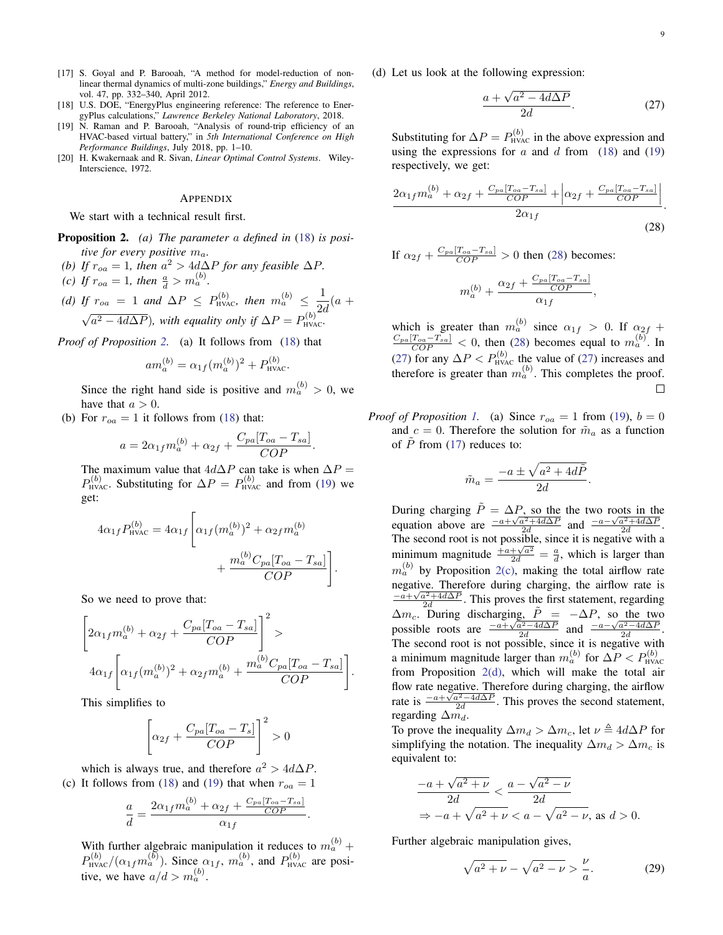- <span id="page-8-0"></span>[17] S. Goyal and P. Barooah, "A method for model-reduction of nonlinear thermal dynamics of multi-zone buildings," *Energy and Buildings*, vol. 47, pp. 332–340, April 2012.
- <span id="page-8-1"></span>[18] U.S. DOE, "EnergyPlus engineering reference: The reference to EnergyPlus calculations," *Lawrence Berkeley National Laboratory*, 2018.
- <span id="page-8-2"></span>[19] N. Raman and P. Barooah, "Analysis of round-trip efficiency of an HVAC-based virtual battery," in *5th International Conference on High Performance Buildings*, July 2018, pp. 1–10.
- <span id="page-8-9"></span>[20] H. Kwakernaak and R. Sivan, *Linear Optimal Control Systems*. Wiley-Interscience, 1972.

#### APPENDIX

We start with a technical result first.

- Proposition 2. *(a) The parameter* a *defined in* [\(18\)](#page-3-13) *is positive for every positive*  $m_a$ .
- <span id="page-8-7"></span><span id="page-8-5"></span>*(b) If*  $r_{oa} = 1$ *, then*  $a^2 > 4d\Delta P$  *for any feasible*  $\Delta P$ *. (c) If*  $r_{oa} = 1$ *, then*  $\frac{a}{d} > m_a^{(b)}$ *.*
- <span id="page-8-6"></span>*(d) If*  $r_{oa} = 1$  *and*  $\Delta P \leq P_{\text{HVAC}}^{(b)}$ , *then*  $m_a^{(b)} \leq \frac{1}{2a}$  $rac{1}{2d}(a + )$ √  $\overline{a^2 - 4d\Delta P}$ ), with equality only if  $\Delta P = P_{\text{HVAC}}^{(b)}$ .

*Proof of Proposition [2.](#page-0-0)* (a) It follows from [\(18\)](#page-3-13) that

$$
am_a^{(b)} = \alpha_{1f}(m_a^{(b)})^2 + P_{\text{HVAC}}^{(b)}.
$$

Since the right hand side is positive and  $m_a^{(b)} > 0$ , we have that  $a > 0$ .

(b) For  $r_{oa} = 1$  it follows from [\(18\)](#page-3-13) that:

$$
a = 2\alpha_{1f}m_a^{(b)} + \alpha_{2f} + \frac{C_{pa}[T_{oa} - T_{sa}]}{COP}.
$$

The maximum value that  $4d\Delta P$  can take is when  $\Delta P =$  $P_{\text{HVAC}}^{(b)}$ . Substituting for  $\Delta P = P_{\text{HVAC}}^{(b)}$  and from [\(19\)](#page-3-14) we get:

$$
4\alpha_{1f}P_{\text{HVAC}}^{(b)} = 4\alpha_{1f} \left[ \alpha_{1f}(m_a^{(b)})^2 + \alpha_{2f}m_a^{(b)} + \frac{m_a^{(b)}C_{pa}[T_{oa} - T_{sa}]}{COP} \right].
$$

So we need to prove that:

$$
\left[2\alpha_{1f}m_{a}^{(b)} + \alpha_{2f} + \frac{C_{pa}[T_{oa} - T_{sa}]}{COP}\right]^{2} >
$$
  

$$
4\alpha_{1f}\left[\alpha_{1f}(m_{a}^{(b)})^{2} + \alpha_{2f}m_{a}^{(b)} + \frac{m_{a}^{(b)}C_{pa}[T_{oa} - T_{sa}]}{COP}\right].
$$

This simplifies to

$$
\left[\alpha_{2f} + \frac{C_{pa}[T_{oa} - T_s]}{COP}\right]^2 > 0
$$

which is always true, and therefore  $a^2 > 4d\Delta P$ . (c) It follows from [\(18\)](#page-3-13) and [\(19\)](#page-3-14) that when  $r_{oa} = 1$ 

$$
\frac{a}{d} = \frac{2\alpha_{1f}m_a^{(b)} + \alpha_{2f} + \frac{C_{pa}[T_{oa} - T_{sa}]}{COP}}{\alpha_{1f}}
$$

With further algebraic manipulation it reduces to  $m_a^{(b)}$  +  $P_{\text{HVAC}}^{(b)} / (\alpha_{1f} m_a^{(b)})$ . Since  $\alpha_{1f}$ ,  $m_a^{(b)}$ , and  $P_{\text{HVAC}}^{(b)}$  are positive, we have  $a/d > m_a^{(b)}$ .

.

(d) Let us look at the following expression:

<span id="page-8-4"></span>
$$
\frac{a + \sqrt{a^2 - 4d\Delta P}}{2d}.\tag{27}
$$

Substituting for  $\Delta P = P_{\text{HVAC}}^{(b)}$  in the above expression and using the expressions for  $a$  and  $d$  from [\(18\)](#page-3-13) and [\(19\)](#page-3-14) respectively, we get:

$$
\frac{2\alpha_{1f}m_a^{(b)} + \alpha_{2f} + \frac{C_{pa}[T_{oa} - T_{sa}]}{COP} + \left|\alpha_{2f} + \frac{C_{pa}[T_{oa} - T_{sa}]}{COP}\right|}{2\alpha_{1f}}.
$$
\n(28)

If  $\alpha_{2f} + \frac{C_{pa}[T_{oa} - T_{sa}]}{COP} > 0$  then [\(28\)](#page-8-3) becomes:

<span id="page-8-3"></span>
$$
m_a^{(b)} + \frac{\alpha_{2f} + \frac{C_{pa}[T_{oa} - T_{sa}]}{COP}}{\alpha_{1f}},
$$

which is greater than  $m_a^{(b)}$  since  $\alpha_{1f} > 0$ . If  $\alpha_{2f} + \frac{C_{pa}[T_{oa} - T_{sa}]}{COP} < 0$ , then [\(28\)](#page-8-3) becomes equal to  $m_a^{(b)}$ . In [\(27\)](#page-8-4) for any  $\Delta P < P_{\text{HVAC}}^{(b)}$  the value of (27) increases and therefore is greater than  $m_a^{(b)}$ . This completes the proof.

*Proof of Proposition [1.](#page-4-5)* (a) Since  $r_{oa} = 1$  from [\(19\)](#page-3-14),  $b = 0$ and  $c = 0$ . Therefore the solution for  $\tilde{m}_a$  as a function of  $P$  from [\(17\)](#page-3-11) reduces to:

$$
\tilde{m}_a = \frac{-a \pm \sqrt{a^2 + 4d\tilde{P}}}{2d}.
$$

During charging  $\tilde{P} = \Delta P$ , so the the two roots in the During charging  $I = \frac{\Delta T}{2d}$ , so the the two foots in the equation above are  $\frac{-a + \sqrt{a^2 + 4d\Delta P}}{2d}$  and  $\frac{-a - \sqrt{a^2 + 4d\Delta P}}{2d}$ . The second root is not possible, since it is negative with a minimum magnitude  $\frac{+a+\sqrt{a^2}}{2d} = \frac{a}{d}$ , which is larger than  $m_a^{(b)}$  by Proposition [2](#page-0-0)[\(c\),](#page-8-5) making the total airflow rate negative. Therefore during charging, the airflow rate is  $\frac{-a + \sqrt{a^2 + 4d\Delta P}}{2d}$ . This proves the first statement, regarding  $\Delta m_c$ . During discharging,  $\tilde{P} = -\Delta P$ , so the two  $\frac{\Delta m_c}{\Delta t}$ . During unscharging,  $\frac{1}{2d} = -\Delta t$ , so the two<br>possible roots are  $\frac{-a + \sqrt{a^2 - 4d\Delta P}}{2d}$  and  $\frac{-a - \sqrt{a^2 - 4d\Delta P}}{2d}$ . The second root is not possible, since it is negative with a minimum magnitude larger than  $m_a^{(b)}$  for  $\Delta P < P_{\text{HVAC}}^{(b)}$ from Proposition  $2(d)$  $2(d)$ , which will make the total air flow rate negative. Therefore during charging, the airflow rate is  $\frac{-a + \sqrt{a^2 - 4d\Delta P}}{2d}$ . This proves the second statement, regarding  $\Delta m_d$ .

To prove the inequality  $\Delta m_d > \Delta m_c$ , let  $\nu \triangleq 4d\Delta P$  for simplifying the notation. The inequality  $\Delta m_d > \Delta m_c$  is equivalent to:

$$
\frac{-a+\sqrt{a^2+\nu}}{2d} < \frac{a-\sqrt{a^2-\nu}}{2d}
$$
\n
$$
\Rightarrow -a+\sqrt{a^2+\nu} < a-\sqrt{a^2-\nu}, \text{ as } d > 0.
$$

Further algebraic manipulation gives,

<span id="page-8-8"></span>
$$
\sqrt{a^2 + \nu} - \sqrt{a^2 - \nu} > \frac{\nu}{a}.
$$
 (29)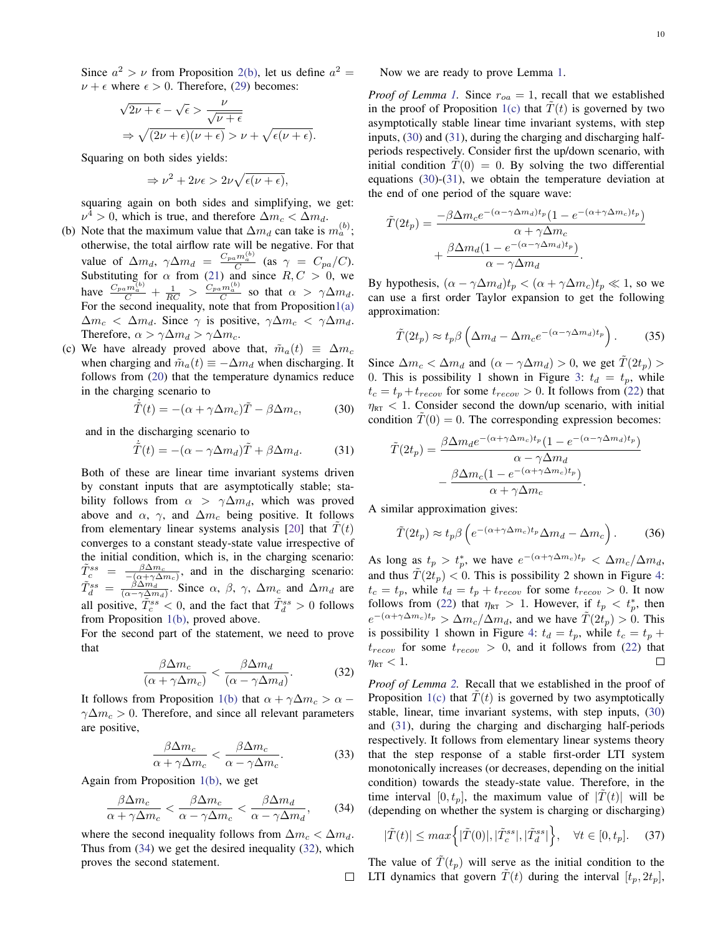Since  $a^2 > \nu$  $a^2 > \nu$  $a^2 > \nu$  from Proposition 2[\(b\),](#page-8-7) let us define  $a^2 =$  $\nu + \epsilon$  where  $\epsilon > 0$ . Therefore, [\(29\)](#page-8-8) becomes:

$$
\sqrt{2\nu + \epsilon} - \sqrt{\epsilon} > \frac{\nu}{\sqrt{\nu + \epsilon}}
$$
  
\n
$$
\Rightarrow \sqrt{(2\nu + \epsilon)(\nu + \epsilon)} > \nu + \sqrt{\epsilon(\nu + \epsilon)}.
$$

Squaring on both sides yields:

$$
\Rightarrow \nu^2 + 2\nu\epsilon > 2\nu\sqrt{\epsilon(\nu + \epsilon)},
$$

squaring again on both sides and simplifying, we get:  $\nu^4 > 0$ , which is true, and therefore  $\Delta m_c < \Delta m_d$ .

- (b) Note that the maximum value that  $\Delta m_d$  can take is  $m_a^{(b)}$ ; otherwise, the total airflow rate will be negative. For that value of  $\Delta m_d$ ,  $\gamma \Delta m_d = \frac{C_{pa} m_a^{(b)}}{C}$  (as  $\gamma = C_{pa}/C$ ). Substituting for  $\alpha$  from [\(21\)](#page-3-12) and since  $R, C > 0$ , we have  $\frac{C_{pa}m_a^{(b)}}{C} + \frac{1}{RC} > \frac{C_{pa}m_a^{(b)}}{C}$  so that  $\alpha > \gamma \Delta m_d$ . For the second inequality, note that from Proposition $1(a)$  $1(a)$  $\Delta m_c < \Delta m_d$ . Since  $\gamma$  is positive,  $\gamma \Delta m_c < \gamma \Delta m_d$ . Therefore,  $\alpha > \gamma \Delta m_d > \gamma \Delta m_c$ .
- (c) We have already proved above that,  $\tilde{m}_a(t) \equiv \Delta m_c$ when charging and  $\tilde{m}_a(t) \equiv -\Delta m_d$  when discharging. It follows from [\(20\)](#page-3-10) that the temperature dynamics reduce in the charging scenario to

$$
\dot{\tilde{T}}(t) = -(\alpha + \gamma \Delta m_c)\tilde{T} - \beta \Delta m_c, \tag{30}
$$

and in the discharging scenario to

$$
\dot{\tilde{T}}(t) = -(\alpha - \gamma \Delta m_d)\tilde{T} + \beta \Delta m_d. \tag{31}
$$

Both of these are linear time invariant systems driven by constant inputs that are asymptotically stable; stability follows from  $\alpha > \gamma \Delta m_d$ , which was proved above and  $\alpha$ ,  $\gamma$ , and  $\Delta m_c$  being positive. It follows from elementary linear systems analysis [\[20\]](#page-8-9) that  $T(t)$ converges to a constant steady-state value irrespective of the initial condition, which is, in the charging scenario:  $\tilde{T}_c^{ss} = \frac{\beta \Delta m_c}{-(\alpha + \gamma \Delta m_c)}$ , and in the discharging scenario:  $\tilde{T}_d^{ss} = \frac{\beta \Delta m_d}{(\alpha - \gamma \Delta m_d)}$ . Since  $\alpha$ ,  $\beta$ ,  $\gamma$ ,  $\Delta m_c$  and  $\Delta m_d$  are all positive,  $\tilde{T}_c^{ss} < 0$ , and the fact that  $\tilde{T}_d^{ss} > 0$  follows from Proposition [1](#page-4-5)[\(b\),](#page-5-6) proved above.

For the second part of the statement, we need to prove that

$$
\frac{\beta \Delta m_c}{(\alpha + \gamma \Delta m_c)} < \frac{\beta \Delta m_d}{(\alpha - \gamma \Delta m_d)}.\tag{32}
$$

It follows from Proposition [1](#page-4-5)[\(b\)](#page-5-6) that  $\alpha + \gamma \Delta m_c > \alpha$  –  $\gamma \Delta m_c > 0$ . Therefore, and since all relevant parameters are positive,

$$
\frac{\beta \Delta m_c}{\alpha + \gamma \Delta m_c} < \frac{\beta \Delta m_c}{\alpha - \gamma \Delta m_c}.\tag{33}
$$

 $\Box$ 

Again from Proposition [1](#page-4-5)[\(b\),](#page-5-6) we get

$$
\frac{\beta \Delta m_c}{\alpha + \gamma \Delta m_c} < \frac{\beta \Delta m_c}{\alpha - \gamma \Delta m_c} < \frac{\beta \Delta m_d}{\alpha - \gamma \Delta m_d},\tag{34}
$$

where the second inequality follows from  $\Delta m_c < \Delta m_d$ . Thus from [\(34\)](#page-9-0) we get the desired inequality [\(32\)](#page-9-1), which proves the second statement.

Now we are ready to prove Lemma [1.](#page-5-0)

*Proof of Lemma [1.](#page-5-0)* Since  $r_{oa} = 1$ , recall that we established in the proof of Proposition [1](#page-4-5)[\(c\)](#page-5-4) that  $\hat{T}(t)$  is governed by two asymptotically stable linear time invariant systems, with step inputs, [\(30\)](#page-9-2) and [\(31\)](#page-9-3), during the charging and discharging halfperiods respectively. Consider first the up/down scenario, with initial condition  $T(0) = 0$ . By solving the two differential equations [\(30\)](#page-9-2)-[\(31\)](#page-9-3), we obtain the temperature deviation at the end of one period of the square wave:

$$
\tilde{T}(2t_p) = \frac{-\beta \Delta m_c e^{-(\alpha - \gamma \Delta m_d)t_p} (1 - e^{-(\alpha + \gamma \Delta m_c)t_p})}{\alpha + \gamma \Delta m_c} + \frac{\beta \Delta m_d (1 - e^{-(\alpha - \gamma \Delta m_d)t_p})}{\alpha - \gamma \Delta m_d}.
$$

By hypothesis,  $(\alpha - \gamma \Delta m_d)t_p < (\alpha + \gamma \Delta m_c)t_p \ll 1$ , so we can use a first order Taylor expansion to get the following approximation:

$$
\tilde{T}(2t_p) \approx t_p \beta \left( \Delta m_d - \Delta m_c e^{-(\alpha - \gamma \Delta m_d)t_p} \right). \tag{35}
$$

<span id="page-9-2"></span>Since  $\Delta m_c < \Delta m_d$  and  $(\alpha - \gamma \Delta m_d) > 0$ , we get  $\tilde{T}(2t_p) >$ 0. This is possibility 1 shown in Figure [3:](#page-4-3)  $t_d = t_p$ , while  $t_c = t_p + t_{recov}$  for some  $t_{recov} > 0$ . It follows from [\(22\)](#page-4-2) that  $\eta_{RT}$  < 1. Consider second the down/up scenario, with initial condition  $T(0) = 0$ . The corresponding expression becomes:

<span id="page-9-3"></span>
$$
\tilde{T}(2t_p) = \frac{\beta \Delta m_d e^{-(\alpha + \gamma \Delta m_c)t_p} (1 - e^{-(\alpha - \gamma \Delta m_d)t_p})}{\alpha - \gamma \Delta m_d}
$$

$$
- \frac{\beta \Delta m_c (1 - e^{-(\alpha + \gamma \Delta m_c)t_p})}{\alpha + \gamma \Delta m_c}.
$$

A similar approximation gives:

$$
\tilde{T}(2t_p) \approx t_p \beta \left( e^{-(\alpha + \gamma \Delta m_c)t_p} \Delta m_d - \Delta m_c \right). \tag{36}
$$

As long as  $t_p > t_p^*$ , we have  $e^{-(\alpha + \gamma \Delta m_c)t_p} < \Delta m_c / \Delta m_d$ , and thus  $T(2t_p) < 0$ . This is possibility 2 shown in Figure [4:](#page-4-4)  $t_c = t_p$ , while  $t_d = t_p + t_{recov}$  for some  $t_{recov} > 0$ . It now follows from [\(22\)](#page-4-2) that  $\eta_{RT} > 1$ . However, if  $t_p < t_p^*$ , then  $e^{-(\alpha+\gamma\Delta m_c)t_p} > \Delta m_c/\Delta m_d$ , and we have  $\tilde{T}(2t_p) > 0$ . This is possibility 1 shown in Figure [4:](#page-4-4)  $t_d = t_p$ , while  $t_c = t_p +$  $t_{recov}$  for some  $t_{recov} > 0$ , and it follows from [\(22\)](#page-4-2) that  $\eta_{\rm RT}$  < 1. П

<span id="page-9-1"></span>*Proof of Lemma [2.](#page-6-3)* Recall that we established in the proof of Proposition  $1(c)$  $1(c)$  that  $T(t)$  is governed by two asymptotically stable, linear, time invariant systems, with step inputs, [\(30\)](#page-9-2) and [\(31\)](#page-9-3), during the charging and discharging half-periods respectively. It follows from elementary linear systems theory that the step response of a stable first-order LTI system monotonically increases (or decreases, depending on the initial condition) towards the steady-state value. Therefore, in the time interval [0,  $t_p$ ], the maximum value of  $|T(t)|$  will be (depending on whether the system is charging or discharging)

<span id="page-9-4"></span><span id="page-9-0"></span>
$$
|\tilde{T}(t)| \le \max\left\{ |\tilde{T}(0)|, |\tilde{T}_c^{ss}|, |\tilde{T}_d^{ss}| \right\}, \quad \forall t \in [0, t_p]. \tag{37}
$$

The value of  $\tilde{T}(t_n)$  will serve as the initial condition to the LTI dynamics that govern  $\hat{T}(t)$  during the interval  $[t_p, 2t_p]$ ,